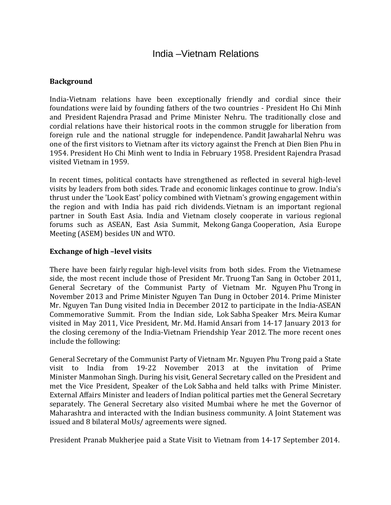# India –Vietnam Relations

### **Background**

India-Vietnam relations have been exceptionally friendly and cordial since their foundations were laid by founding fathers of the two countries - President Ho Chi Minh and President Rajendra Prasad and Prime Minister Nehru. The traditionally close and cordial relations have their historical roots in the common struggle for liberation from foreign rule and the national struggle for independence. Pandit Jawaharlal Nehru was one of the first visitors to Vietnam after its victory against the French at Dien Bien Phu in 1954. President Ho Chi Minh went to India in February 1958. President Rajendra Prasad visited Vietnam in 1959.

In recent times, political contacts have strengthened as reflected in several high-level visits by leaders from both sides. Trade and economic linkages continue to grow. India's thrust under the 'Look East' policy combined with Vietnam's growing engagement within the region and with India has paid rich dividends. Vietnam is an important regional partner in South East Asia. India and Vietnam closely cooperate in various regional forums such as ASEAN, East Asia Summit, Mekong Ganga Cooperation, Asia Europe Meeting (ASEM) besides UN and WTO.

### **Exchange of high –level visits**

There have been fairly regular high-level visits from both sides. From the Vietnamese side, the most recent include those of President Mr. Truong Tan Sang in October 2011, General Secretary of the Communist Party of Vietnam Mr. Nguyen Phu Trong in November 2013 and Prime Minister Nguyen Tan Dung in October 2014. Prime Minister Mr. Nguyen Tan Dung visited India in December 2012 to participate in the India-ASEAN Commemorative Summit. From the Indian side, Lok Sabha Speaker Mrs. Meira Kumar visited in May 2011, Vice President, Mr. Md. Hamid Ansari from 14-17 January 2013 for the closing ceremony of the India-Vietnam Friendship Year 2012. The more recent ones include the following:

General Secretary of the Communist Party of Vietnam Mr. Nguyen Phu Trong paid a State visit to India from 19-22 November 2013 at the invitation of Prime Minister Manmohan Singh. During his visit, General Secretary called on the President and met the Vice President, Speaker of the Lok Sabha and held talks with Prime Minister. External Affairs Minister and leaders of Indian political parties met the General Secretary separately. The General Secretary also visited Mumbai where he met the Governor of Maharashtra and interacted with the Indian business community. A Joint Statement was issued and 8 bilateral MoUs/ agreements were signed.

President Pranab Mukherjee paid a State Visit to Vietnam from 14-17 September 2014.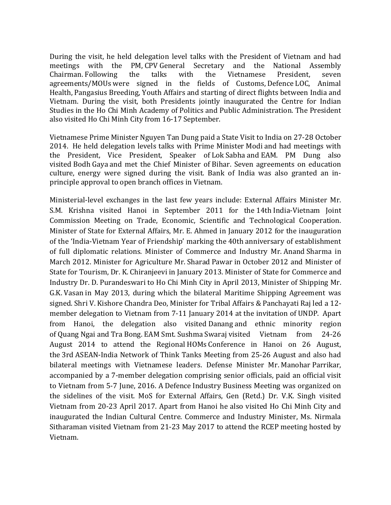During the visit, he held delegation level talks with the President of Vietnam and had meetings with the PM, CPV General Secretary and the National Assembly meetings with the PM, CPV-General Secretary and the National Assembly<br>Chairman. Following the talks with the Vietnamese President. seven Chairman. Following agreements/MOUs were signed in the fields of Customs, Defence LOC, Animal Health, Pangasius Breeding, Youth Affairs and starting of direct flights between India and Vietnam. During the visit, both Presidents jointly inaugurated the Centre for Indian Studies in the Ho Chi Minh Academy of Politics and Public Administration. The President also visited Ho Chi Minh City from 16-17 September.

Vietnamese Prime Minister Nguyen Tan Dung paid a State Visit to India on 27-28 October 2014. He held delegation levels talks with Prime Minister Modi and had meetings with the President, Vice President, Speaker of Lok Sabha and EAM. PM Dung also visited Bodh Gaya and met the Chief Minister of Bihar. Seven agreements on education culture, energy were signed during the visit. Bank of India was also granted an inprinciple approval to open branch offices in Vietnam.

Ministerial-level exchanges in the last few years include: External Affairs Minister Mr. S.M. Krishna visited Hanoi in September 2011 for the 14th India-Vietnam Joint Commission Meeting on Trade, Economic, Scientific and Technological Cooperation. Minister of State for External Affairs, Mr. E. Ahmed in January 2012 for the inauguration of the 'India-Vietnam Year of Friendship' marking the 40th anniversary of establishment of full diplomatic relations. Minister of Commerce and Industry Mr. Anand Sharma in March 2012. Minister for Agriculture Mr. Sharad Pawar in October 2012 and Minister of State for Tourism, Dr. K. Chiranjeevi in January 2013. Minister of State for Commerce and Industry Dr. D. Purandeswari to Ho Chi Minh City in April 2013, Minister of Shipping Mr. G.K. Vasan in May 2013, during which the bilateral Maritime Shipping Agreement was signed. Shri V. Kishore Chandra Deo, Minister for Tribal Affairs & Panchayati Raj led a 12 member delegation to Vietnam from 7-11 January 2014 at the invitation of UNDP. Apart from Hanoi, the delegation also visited Danang and ethnic minority region of Quang Ngai and Tra Bong. EAM Smt. Sushma Swaraj visited Vietnam from 24-26 August 2014 to attend the Regional HOMs Conference in Hanoi on 26 August, the 3rd ASEAN-India Network of Think Tanks Meeting from 25-26 August and also had bilateral meetings with Vietnamese leaders. Defense Minister Mr. Manohar Parrikar, accompanied by a 7-member delegation comprising senior officials, paid an official visit to Vietnam from 5-7 June, 2016. A Defence Industry Business Meeting was organized on the sidelines of the visit. MoS for External Affairs, Gen (Retd.) Dr. V.K. Singh visited Vietnam from 20-23 April 2017. Apart from Hanoi he also visited Ho Chi Minh City and inaugurated the Indian Cultural Centre. Commerce and Industry Minister, Ms. Nirmala Sitharaman visited Vietnam from 21-23 May 2017 to attend the RCEP meeting hosted by Vietnam.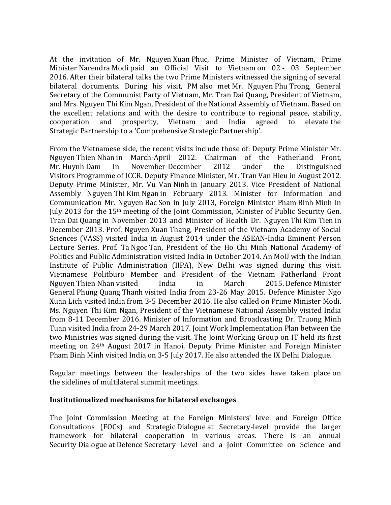At the invitation of Mr. Nguyen Xuan Phuc, Prime Minister of Vietnam, Prime Minister Narendra Modi paid an Official Visit to Vietnam on 02 - 03 September 2016. After their bilateral talks the two Prime Ministers witnessed the signing of several bilateral documents. During his visit, PM also met Mr. Nguyen Phu Trong, General Secretary of the Communist Party of Vietnam, Mr. Tran Dai Quang, President of Vietnam, and Mrs. Nguyen Thi Kim Ngan, President of the National Assembly of Vietnam. Based on the excellent relations and with the desire to contribute to regional peace, stability, cooperation and prosperity, Vietnam and India agreed to elevate the cooperation and prosperity, Vietnam and India agreed to elevate the Strategic Partnership to a 'Comprehensive Strategic Partnership'.

From the Vietnamese side, the recent visits include those of: Deputy Prime Minister Mr. Nguyen Thien Nhan in March-April 2012. Chairman of the Fatherland Front,<br>Mr. Huvnh Dam in November-December 2012 under the Distinguished November-December Visitors Programme of ICCR. Deputy Finance Minister, Mr. Tran Van Hieu in August 2012. Deputy Prime Minister, Mr. Vu Van Ninh in January 2013. Vice President of National Assembly Nguyen Thi Kim Ngan in February 2013. Minister for Information and Communication Mr. Nguyen Bac Son in July 2013, Foreign Minister Pham Binh Minh in July 2013 for the 15th meeting of the Joint Commission, Minister of Public Security Gen. Tran Dai Quang in November 2013 and Minister of Health Dr. Nguyen Thi Kim Tien in December 2013. Prof. Nguyen Xuan Thang, President of the Vietnam Academy of Social Sciences (VASS) visited India in August 2014 under the ASEAN-India Eminent Person Lecture Series. Prof. Ta Ngoc Tan, President of the Ho Chi Minh National Academy of Politics and Public Administration visited India in October 2014. An MoU with the Indian Institute of Public Administration (IIPA), New Delhi was signed during this visit. Vietnamese Politburo Member and President of the Vietnam Fatherland Front Neuven Thien Nhan visited India in March 2015. Defence Minister Nguyen Thien Nhan visited General Phung Quang Thanh visited India from 23-26 May 2015. Defence Minister Ngo Xuan Lich visited India from 3-5 December 2016. He also called on Prime Minister Modi. Ms. Nguyen Thi Kim Ngan, President of the Vietnamese National Assembly visited India from 8-11 December 2016. Minister of Information and Broadcasting Dr. Truong Minh Tuan visited India from 24-29 March 2017. Joint Work Implementation Plan between the two Ministries was signed during the visit. The Joint Working Group on IT held its first meeting on 24th August 2017 in Hanoi. Deputy Prime Minister and Foreign Minister Pham Binh Minh visited India on 3-5 July 2017. He also attended the IX Delhi Dialogue.

Regular meetings between the leaderships of the two sides have taken place on the sidelines of multilateral summit meetings.

### **Institutionalized mechanisms for bilateral exchanges**

The Joint Commission Meeting at the Foreign Ministers' level and Foreign Office Consultations (FOCs) and Strategic Dialogue at Secretary-level provide the larger framework for bilateral cooperation in various areas. There is an annual Security Dialogue at Defence Secretary Level and a Joint Committee on Science and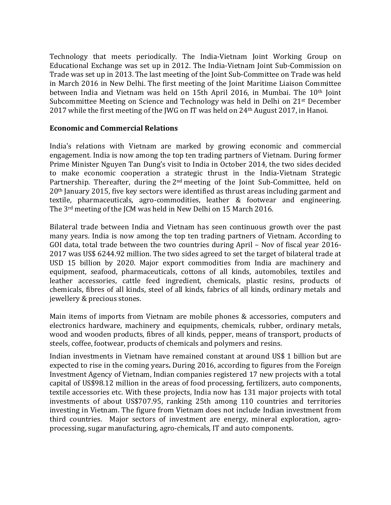Technology that meets periodically. The India-Vietnam Joint Working Group on Educational Exchange was set up in 2012. The India-Vietnam Joint Sub-Commission on Trade was set up in 2013. The last meeting of the Joint Sub-Committee on Trade was held in March 2016 in New Delhi. The first meeting of the Joint Maritime Liaison Committee between India and Vietnam was held on 15th April 2016, in Mumbai. The 10th Joint Subcommittee Meeting on Science and Technology was held in Delhi on 21st December 2017 while the first meeting of the JWG on IT was held on 24th August 2017, in Hanoi.

#### **Economic and Commercial Relations**

India's relations with Vietnam are marked by growing economic and commercial engagement. India is now among the top ten trading partners of Vietnam. During former Prime Minister Nguyen Tan Dung's visit to India in October 2014, the two sides decided to make economic cooperation a strategic thrust in the India-Vietnam Strategic Partnership. Thereafter, during the 2<sup>nd</sup> meeting of the Joint Sub-Committee, held on 20th January 2015, five key sectors were identified as thrust areas including garment and textile, pharmaceuticals, agro-commodities, leather & footwear and engineering. The 3rd meeting of the JCM was held in New Delhi on 15 March 2016.

Bilateral trade between India and Vietnam has seen continuous growth over the past many years. India is now among the top ten trading partners of Vietnam. According to GOI data, total trade between the two countries during April – Nov of fiscal year 2016- 2017 was US\$ 6244.92 million. The two sides agreed to set the target of bilateral trade at USD 15 billion by 2020. Major export commodities from India are machinery and equipment, seafood, pharmaceuticals, cottons of all kinds, automobiles, textiles and leather accessories, cattle feed ingredient, chemicals, plastic resins, products of chemicals, fibres of all kinds, steel of all kinds, fabrics of all kinds, ordinary metals and jewellery & precious stones.

Main items of imports from Vietnam are mobile phones & accessories, computers and electronics hardware, machinery and equipments, chemicals, rubber, ordinary metals, wood and wooden products, fibres of all kinds, pepper, means of transport, products of steels, coffee, footwear, products of chemicals and polymers and resins.

Indian investments in Vietnam have remained constant at around US\$ 1 billion but are expected to rise in the coming years**.** During 2016, according to figures from the Foreign Investment Agency of Vietnam, Indian companies registered 17 new projects with a total capital of US\$98.12 million in the areas of food processing, fertilizers, auto components, textile accessories etc. With these projects, India now has 131 major projects with total investments of about US\$707.95, ranking 25th among 110 countries and territories investing in Vietnam. The figure from Vietnam does not include Indian investment from third countries. Major sectors of investment are energy, mineral exploration, agroprocessing, sugar manufacturing, agro-chemicals, IT and auto components.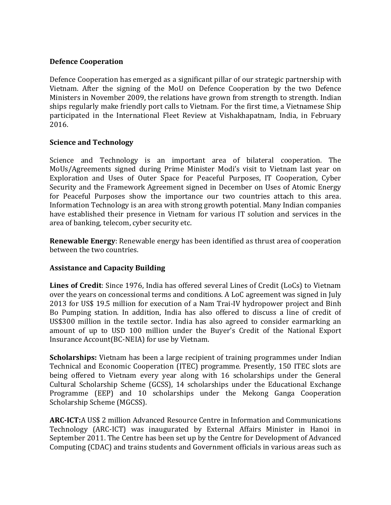#### **Defence Cooperation**

Defence Cooperation has emerged as a significant pillar of our strategic partnership with Vietnam. After the signing of the MoU on Defence Cooperation by the two Defence Ministers in November 2009, the relations have grown from strength to strength. Indian ships regularly make friendly port calls to Vietnam. For the first time, a Vietnamese Ship participated in the International Fleet Review at Vishakhapatnam, India, in February 2016.

#### **Science and Technology**

Science and Technology is an important area of bilateral cooperation. The MoUs/Agreements signed during Prime Minister Modi's visit to Vietnam last year on Exploration and Uses of Outer Space for Peaceful Purposes, IT Cooperation, Cyber Security and the Framework Agreement signed in December on Uses of Atomic Energy for Peaceful Purposes show the importance our two countries attach to this area. Information Technology is an area with strong growth potential. Many Indian companies have established their presence in Vietnam for various IT solution and services in the area of banking, telecom, cyber security etc.

**Renewable Energy**: Renewable energy has been identified as thrust area of cooperation between the two countries.

### **Assistance and Capacity Building**

**Lines of Credit**: Since 1976, India has offered several Lines of Credit (LoCs) to Vietnam over the years on concessional terms and conditions. A LoC agreement was signed in July 2013 for US\$ 19.5 million for execution of a Nam Trai-IV hydropower project and Binh Bo Pumping station. In addition, India has also offered to discuss a line of credit of US\$300 million in the textile sector. India has also agreed to consider earmarking an amount of up to USD 100 million under the Buyer's Credit of the National Export Insurance Account(BC-NEIA) for use by Vietnam.

**Scholarships:** Vietnam has been a large recipient of training programmes under Indian Technical and Economic Cooperation (ITEC) programme. Presently, 150 ITEC slots are being offered to Vietnam every year along with 16 scholarships under the General Cultural Scholarship Scheme (GCSS), 14 scholarships under the Educational Exchange Programme (EEP) and 10 scholarships under the Mekong Ganga Cooperation Scholarship Scheme (MGCSS).

**ARC-ICT:**A US\$ 2 million Advanced Resource Centre in Information and Communications Technology (ARC-ICT) was inaugurated by External Affairs Minister in Hanoi in September 2011. The Centre has been set up by the Centre for Development of Advanced Computing (CDAC) and trains students and Government officials in various areas such as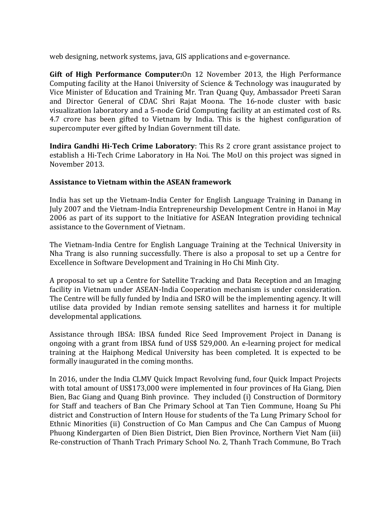web designing, network systems, java, GIS applications and e-governance.

**Gift of High Performance Computer:**On 12 November 2013, the High Performance Computing facility at the Hanoi University of Science & Technology was inaugurated by Vice Minister of Education and Training Mr. Tran Quang Quy, Ambassador Preeti Saran and Director General of CDAC Shri Rajat Moona. The 16-node cluster with basic visualization laboratory and a 5-node Grid Computing facility at an estimated cost of Rs. 4.7 crore has been gifted to Vietnam by India. This is the highest configuration of supercomputer ever gifted by Indian Government till date.

**Indira Gandhi Hi-Tech Crime Laboratory**: This Rs 2 crore grant assistance project to establish a Hi-Tech Crime Laboratory in Ha Noi. The MoU on this project was signed in November 2013.

### **Assistance to Vietnam within the ASEAN framework**

India has set up the Vietnam-India Center for English Language Training in Danang in July 2007 and the Vietnam-India Entrepreneurship Development Centre in Hanoi in May 2006 as part of its support to the Initiative for ASEAN Integration providing technical assistance to the Government of Vietnam.

The Vietnam-India Centre for English Language Training at the Technical University in Nha Trang is also running successfully. There is also a proposal to set up a Centre for Excellence in Software Development and Training in Ho Chi Minh City.

A proposal to set up a Centre for Satellite Tracking and Data Reception and an Imaging facility in Vietnam under ASEAN-India Cooperation mechanism is under consideration. The Centre will be fully funded by India and ISRO will be the implementing agency. It will utilise data provided by Indian remote sensing satellites and harness it for multiple developmental applications.

Assistance through IBSA: IBSA funded Rice Seed Improvement Project in Danang is ongoing with a grant from IBSA fund of US\$ 529,000. An e-learning project for medical training at the Haiphong Medical University has been completed. It is expected to be formally inaugurated in the coming months.

In 2016, under the India CLMV Quick Impact Revolving fund, four Quick Impact Projects with total amount of US\$173,000 were implemented in four provinces of Ha Giang, Dien Bien, Bac Giang and Quang Binh province. They included (i) Construction of Dormitory for Staff and teachers of Ban Che Primary School at Tan Tien Commune, Hoang Su Phi district and Construction of Intern House for students of the Ta Lung Primary School for Ethnic Minorities (ii) Construction of Co Man Campus and Che Can Campus of Muong Phuong Kindergarten of Dien Bien District, Dien Bien Province, Northern Viet Nam (iii) Re-construction of Thanh Trach Primary School No. 2, Thanh Trach Commune, Bo Trach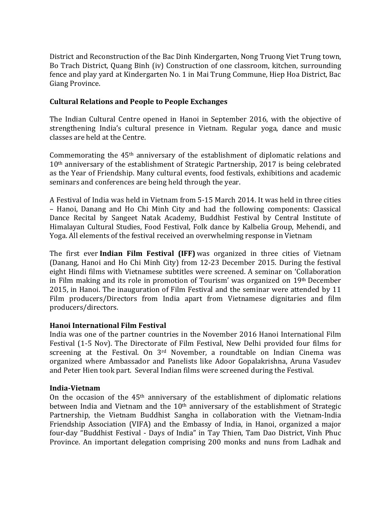District and Reconstruction of the Bac Dinh Kindergarten, Nong Truong Viet Trung town, Bo Trach District, Quang Binh (iv) Construction of one classroom, kitchen, surrounding fence and play yard at Kindergarten No. 1 in Mai Trung Commune, Hiep Hoa District, Bac Giang Province.

## **Cultural Relations and People to People Exchanges**

The Indian Cultural Centre opened in Hanoi in September 2016, with the objective of strengthening India's cultural presence in Vietnam. Regular yoga, dance and music classes are held at the Centre.

Commemorating the 45th anniversary of the establishment of diplomatic relations and 10th anniversary of the establishment of Strategic Partnership, 2017 is being celebrated as the Year of Friendship. Many cultural events, food festivals, exhibitions and academic seminars and conferences are being held through the year.

A Festival of India was held in Vietnam from 5-15 March 2014. It was held in three cities – Hanoi, Danang and Ho Chi Minh City and had the following components: Classical Dance Recital by Sangeet Natak Academy, Buddhist Festival by Central Institute of Himalayan Cultural Studies, Food Festival, Folk dance by Kalbelia Group, Mehendi, and Yoga. All elements of the festival received an overwhelming response in Vietnam

The first ever **Indian Film Festival (IFF)** was organized in three cities of Vietnam (Danang, Hanoi and Ho Chi Minh City) from 12-23 December 2015. During the festival eight Hindi films with Vietnamese subtitles were screened. A seminar on 'Collaboration in Film making and its role in promotion of Tourism' was organized on 19th December 2015, in Hanoi. The inauguration of Film Festival and the seminar were attended by 11 Film producers/Directors from India apart from Vietnamese dignitaries and film producers/directors.

### **Hanoi International Film Festival**

India was one of the partner countries in the November 2016 Hanoi International Film Festival (1-5 Nov). The Directorate of Film Festival, New Delhi provided four films for screening at the Festival. On 3rd November, a roundtable on Indian Cinema was organized where Ambassador and Panelists like Adoor Gopalakrishna, Aruna Vasudev and Peter Hien took part. Several Indian films were screened during the Festival.

### **India-Vietnam**

On the occasion of the  $45<sup>th</sup>$  anniversary of the establishment of diplomatic relations between India and Vietnam and the  $10<sup>th</sup>$  anniversary of the establishment of Strategic Partnership, the Vietnam Buddhist Sangha in collaboration with the Vietnam-India Friendship Association (VIFA) and the Embassy of India, in Hanoi, organized a major four-day "Buddhist Festival - Days of India" in Tay Thien, Tam Dao District, Vinh Phuc Province. An important delegation comprising 200 monks and nuns from Ladhak and